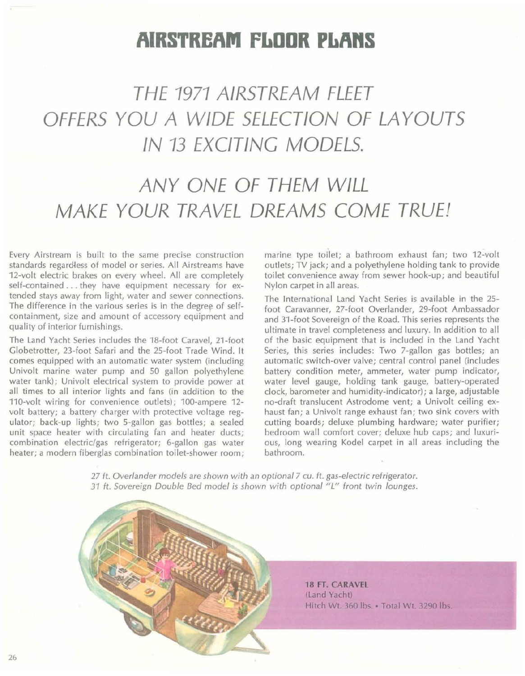## **AIRSTREAM FLOOR PLAns**

## **THE 1971 AIRSTREAM FLEET OFFERS YOU A WIDE SELECTION OF LA YOUTS IN 13 EXCITING MODELS.**

## **ANY ONE OF THEM WILL MAKE YOUR TRAVEL DREAMS COME TRUE!**

Every Airstream is built to the same precise construction standards regardless of model or series. All Airstreams have 12-volt electric brakes on every wheel. All are completely self-contained ... they have equipment necessary for extended stays away from light, water and sewer connections. The difference in the various series is in the degree of selfcontainment, size and amount of accessory equipment and quality of interior furnishings.

The Land Yacht Series includes the 18-foot Caravel, 21-foot Globetrotter, 23-foot Safari and the 25-foot Trade Wind. It comes equipped with an automatic water system (including Univolt marine water pump and 50 gallon polyethylene water tank); Univolt electrical system to provide power at all times to all interior lights and fans (in addition to the 110-volt wiring for convenience outlets); 100-ampere 12 volt battery; a battery charger with protective voltage regulator; back-up lights; two 5-gallon gas bottles; a sealed unit space heater with circulating fan and heater ducts; combination electric/gas refrigerator; 6-gallon gas water heater; a modern fiberglas combination toilet-shower room;

marine type toilet; a bathroom exhaust fan; two 12-volt outlets; TV jack; and a polyethylene holding tank to provide toilet convenience away from sewer hook-up; and beautiful Nylon carpet in all areas.

The International Land Yacht Series is available in the 25 foot Caravanner, 27-foot Overlander, 29-foot Ambassador and 31-foot Sovereign of the Road. This series represents the ultimate in travel completeness and luxury. In addition to all of the basic equipment that is included in the Land Yacht Series, this series includes: Two 7-gallon gas bottles; an automatic switch-over valve; central control panel (includes battery condition meter, ammeter, water pump indicator, water level gauge, holding tank gauge, battery-operated clock, barometer and humidity-indicator); a large, adjustable no-draft translucent Astrodome vent; a Univolt ceiling exhaust fan; a Univolt range exhaust fan; two sink covers with cutting boards; deluxe plumbing hardware; water purifier; bedroom wall comfort cover; deluxe hub caps; and luxurious, long wearing Kodel carpet in all areas including the bathroom.

 $27$  ft. Overlander models are shown with an optional 7 cu. ft. gas-electric refrigerator. 31 ft. Sovereign Double Bed model is shown with optional "L" front twin lounges.

> **18 FT. CARAVEL** (Land Yacht) Hitch Wt. 360 lbs. • Total Wt. 3290 lbs.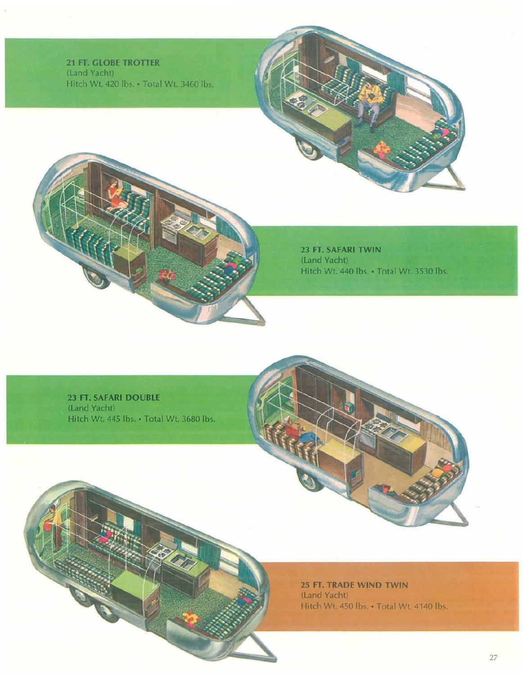21 FT. **GLOBE TROTTER** (land Yacht) Hitch Wt. 420 Ibs.• Total Wt. 3460 Ibs.

> 23 FT. **SAFARI TWIN** (land Yacht) Hitch Wt. 440 Ibs.• Total Wt. 3530 Ibs.

23 FT. **SAFARI DOUBLE** (Land Yacht) Hitch Wt. 445 lbs. • Total Wt. 3680 lbs.

> 25 FT. **TRADE WIND TWIN** (land Yacht) Hitch Wt. 450 lbs. • Total Wt. 4140 lbs.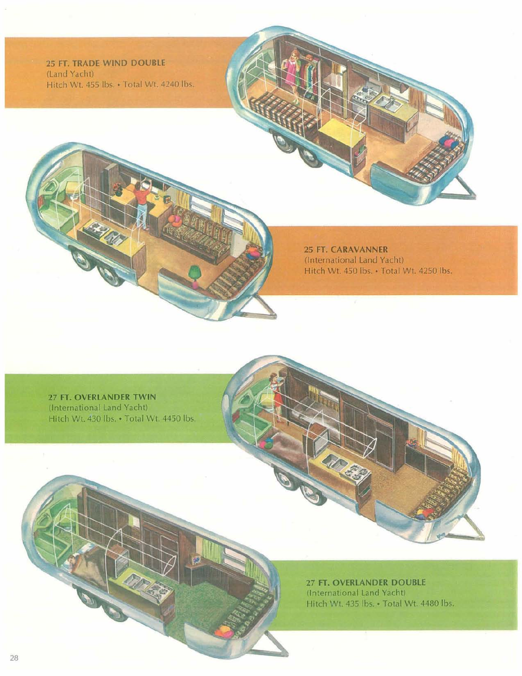**25 FT. TRADE WIND DOUBLE** (Land Yacht) Hitch Wt. 455 lbs. • Total Wt. 4240 lbs.

> **25 FT. CARAVANNER** (International Land Yacht) Hitch WI. 450 Ibs.• Total Wt. 4250 Ibs.

**27 FT. OVERLANDER TWIN** (International Land Yacht) Hitch Wt. 430 Ibs.• Total WI. 4450 Ibs.

> **27 FT. OVERLANDER DOUBLE** (International Land Yacht) Hitch Wt. 435 Ibs.• Total Wt. 4480 Ibs.